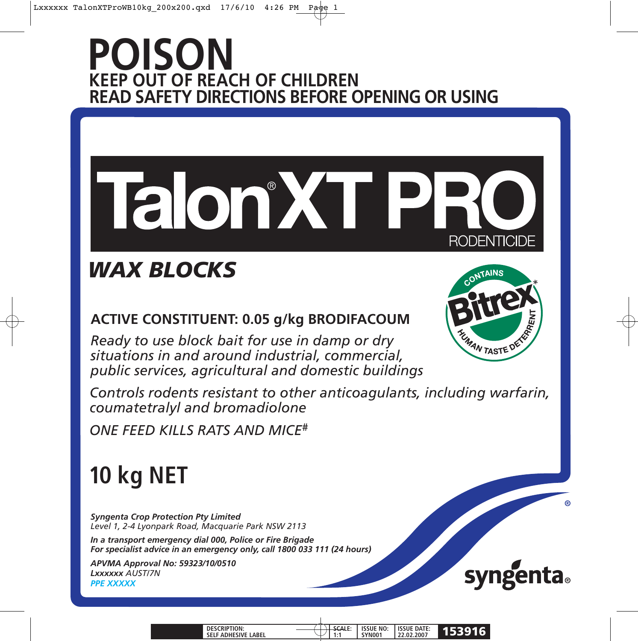### **POISON KEEP OUT OF REACH OF CHILDREN READ SAFETY DIRECTIONS BEFORE OPENING OR USING**

# Talon'XT PF **RODENTICIDE**

## *WAX BLOCKS*

### **ACTIVE CONSTITUENT: 0.05 g/kg BRODIFACOUM**

*Ready to use block bait for use in damp or dry situations in and around industrial, commercial, public services, agricultural and domestic buildings*

*Controls rodents resistant to other anticoagulants, including warfarin, coumatetralyl and bromadiolone*

*ONE FEED KILLS RATS AND MICE#*

## **10 kg NET**

*Syngenta Crop Protection Pty Limited Level 1, 2-4 Lyonpark Road, Macquarie Park NSW 2113*

*In a transport emergency dial 000, Police or Fire Brigade For specialist advice in an emergency only, call 1800 033 111 (24 hours)* 

*APVMA Approval No: 59323/10/0510 Lxxxxxx AUST/7N PPE XXXXX*





| <b>DESCRIPTION:</b><br><b>SELF ADHESIVE LABEL</b> | ----- | <b>ISSUE NO:</b><br><b>YNOO</b> | <b>ISSUE DATE:</b><br>22.02.2007 |  |
|---------------------------------------------------|-------|---------------------------------|----------------------------------|--|
|                                                   |       |                                 |                                  |  |